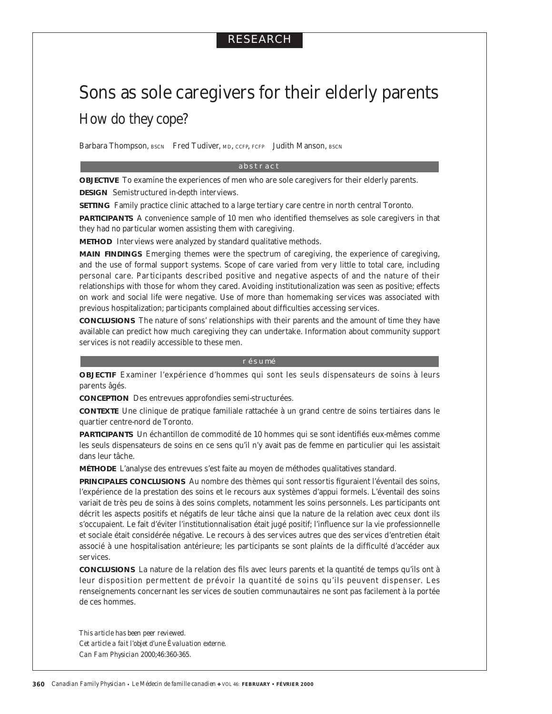# RESEARCH

# Sons as sole caregivers for their elderly parents *How do they cope?*

Barbara Thompson, BSCN Fred Tudiver, MD, CCFP, FCFP Judith Manson, BSCN

#### abstract

**OBJECTIVE** To examine the experiences of men who are sole caregivers for their elderly parents. **DESIGN** Semistructured in-depth interviews.

**SETTING** Family practice clinic attached to a large tertiary care centre in north central Toronto.

**PARTICIPANTS** A convenience sample of 10 men who identified themselves as sole caregivers in that they had no particular women assisting them with caregiving.

**METHOD** Interviews were analyzed by standard qualitative methods.

**MAIN FINDINGS** Emerging themes were the spectrum of caregiving, the experience of caregiving, and the use of formal support systems. Scope of care varied from very little to total care, including personal care. Participants described positive and negative aspects of and the nature of their relationships with those for whom they cared. Avoiding institutionalization was seen as positive; effects on work and social life were negative. Use of more than homemaking services was associated with previous hospitalization; participants complained about difficulties accessing services.

**CONCLUSIONS** The nature of sons' relationships with their parents and the amount of time they have available can predict how much caregiving they can undertake. Information about community support services is not readily accessible to these men.

#### résumé

**OBJECTIF** Examiner l'expérience d'hommes qui sont les seuls dispensateurs de soins à leurs parents âgés.

**CONCEPTION** Des entrevues approfondies semi-structurées.

**CONTEXTE** Une clinique de pratique familiale rattachée à un grand centre de soins tertiaires dans le quartier centre-nord de Toronto.

**PARTICIPANTS** Un échantillon de commodité de 10 hommes qui se sont identifiés eux-mêmes comme les seuls dispensateurs de soins en ce sens qu'il n'y avait pas de femme en particulier qui les assistait dans leur tâche.

**MÉTHODE** L'analyse des entrevues s'est faite au moyen de méthodes qualitatives standard.

**PRINCIPALES CONCLUSIONS** Au nombre des thèmes qui sont ressortis figuraient l'éventail des soins, l'expérience de la prestation des soins et le recours aux systèmes d'appui formels. L'éventail des soins variait de très peu de soins à des soins complets, notamment les soins personnels. Les participants ont décrit les aspects positifs et négatifs de leur tâche ainsi que la nature de la relation avec ceux dont ils s'occupaient. Le fait d'éviter l'institutionnalisation était jugé positif; l'influence sur la vie professionnelle et sociale était considérée négative. Le recours à des services autres que des services d'entretien était associé à une hospitalisation antérieure; les participants se sont plaints de la difficulté d'accéder aux services.

**CONCLUSIONS** La nature de la relation des fils avec leurs parents et la quantité de temps qu'ils ont à leur disposition permettent de prévoir la quantité de soins qu'ils peuvent dispenser. Les renseignements concernant les services de soutien communautaires ne sont pas facilement à la portée de ces hommes.

*This article has been peer reviewed. Cet article a fait l'objet d'une Èvaluation externe. Can Fam Physician* 2000;46:360-365.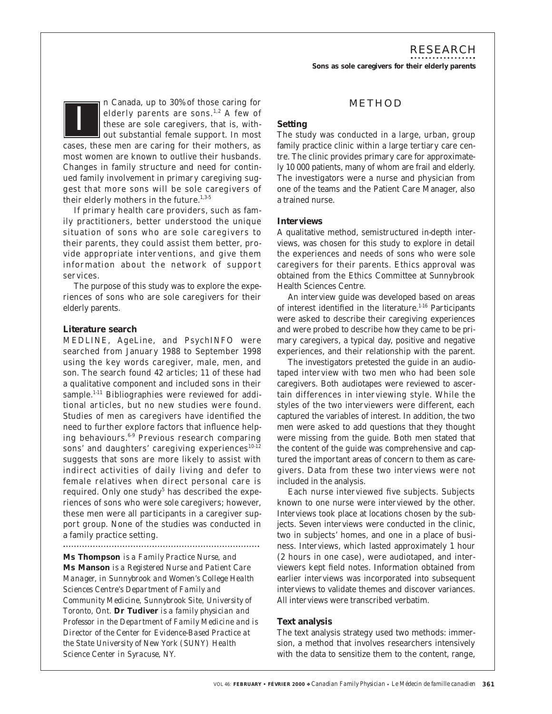RESEARCH **Sons as sole caregivers for their elderly parents**

#### n Canada, up to 30% of those caring for elderly parents are sons.<sup>1,2</sup> A few of these are sole caregivers, that is, without substantial female support. In most cases, these men are caring for their mothers, as most women are known to outlive their husbands. Changes in family structure and need for continued family involvement in primary caregiving suggest that more sons will be sole caregivers of their elderly mothers in the future. $1,3.5$ *I*

If primary health care providers, such as family practitioners, better understood the unique situation of sons who are sole caregivers to their parents, they could assist them better, provide appropriate interventions, and give them information about the network of support services.

The purpose of this study was to explore the experiences of sons who are sole caregivers for their elderly parents.

#### **Literature search**

MEDLINE, AgeLine, and PsychINFO were searched from January 1988 to September 1998 using the key words caregiver, male, men, and son. The search found 42 articles; 11 of these had a qualitative component and included sons in their sample.<sup>1-11</sup> Bibliographies were reviewed for additional articles, but no new studies were found. Studies of men as caregivers have identified the need to further explore factors that influence helping behaviours.6-9 Previous research comparing sons' and daughters' caregiving experiences $10-12$ suggests that sons are more likely to assist with indirect activities of daily living and defer to female relatives when direct personal care is required. Only one study<sup>5</sup> has described the experiences of sons who were *sole* caregivers; however, these men were all participants in a caregiver support group. None of the studies was conducted in a family practice setting.

**Ms Thompson** *is a Family Practice Nurse, and*  **Ms Manson** *is a Registered Nurse and Patient Care Manager, in Sunnybrook and Women's College Health Sciences Centre's Department of Family and Community Medicine, Sunnybrook Site, University of Toronto, Ont.* **Dr Tudiver** *is a family physician and Professor in the Department of Family Medicine and is Director of the Center for Evidence-Based Practice at the State University of New York (SUNY) Health Science Center in Syracuse, NY.*

## METHOD

#### **Setting**

The study was conducted in a large, urban, group family practice clinic within a large tertiary care centre. The clinic provides primary care for approximately 10 000 patients, many of whom are frail and elderly. The investigators were a nurse and physician from one of the teams and the Patient Care Manager, also a trained nurse.

#### **Interviews**

A qualitative method, semistructured in-depth interviews, was chosen for this study to explore in detail the experiences and needs of sons who were sole caregivers for their parents. Ethics approval was obtained from the Ethics Committee at Sunnybrook Health Sciences Centre.

An interview guide was developed based on areas of interest identified in the literature. $1-16$  Participants were asked to describe their caregiving experiences and were probed to describe how they came to be primary caregivers, a typical day, positive and negative experiences, and their relationship with the parent.

The investigators pretested the guide in an audiotaped interview with two men who had been sole caregivers. Both audiotapes were reviewed to ascertain differences in interviewing style. While the styles of the two interviewers were different, each captured the variables of interest. In addition, the two men were asked to add questions that they thought were missing from the guide. Both men stated that the content of the guide was comprehensive and captured the important areas of concern to them as caregivers. Data from these two interviews were not included in the analysis.

Each nurse interviewed five subjects. Subjects known to one nurse were interviewed by the other. Interviews took place at locations chosen by the subjects. Seven interviews were conducted in the clinic, two in subjects' homes, and one in a place of business. Interviews, which lasted approximately 1 hour (2 hours in one case), were audiotaped, and interviewers kept field notes. Information obtained from earlier interviews was incorporated into subsequent interviews to validate themes and discover variances. All interviews were transcribed verbatim.

### **Text analysis**

The text analysis strategy used two methods: immersion, a method that involves researchers intensively with the data to sensitize them to the content, range,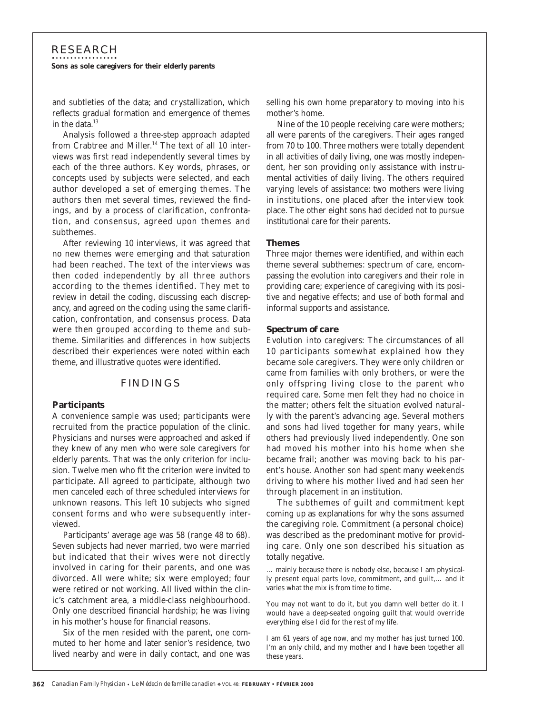# RESEARCH **Sons as sole caregivers for their elderly parents**

and subtleties of the data; and crystallization, which reflects gradual formation and emergence of themes in the data.<sup>13</sup>

Analysis followed a three-step approach adapted from Crabtree and Miller.<sup>14</sup> The text of all 10 interviews was first read independently several times by each of the three authors. Key words, phrases, or concepts used by subjects were selected, and each author developed a set of emerging themes. The authors then met several times, reviewed the findings, and by a process of clarification, confrontation, and consensus, agreed upon themes and subthemes.

After reviewing 10 interviews, it was agreed that no new themes were emerging and that saturation had been reached. The text of the interviews was then coded independently by all three authors according to the themes identified. They met to review in detail the coding, discussing each discrepancy, and agreed on the coding using the same clarification, confrontation, and consensus process. Data were then grouped according to theme and subtheme. Similarities and differences in how subjects described their experiences were noted within each theme, and illustrative quotes were identified.

#### FINDINGS

#### **Participants**

A convenience sample was used; participants were recruited from the practice population of the clinic. Physicians and nurses were approached and asked if they knew of any men who were sole caregivers for elderly parents. That was the only criterion for inclusion. Twelve men who fit the criterion were invited to participate. All agreed to participate, although two men canceled each of three scheduled interviews for unknown reasons. This left 10 subjects who signed consent forms and who were subsequently interviewed.

Participants' average age was 58 (range 48 to 68). Seven subjects had never married, two were married but indicated that their wives were not directly involved in caring for their parents, and one was divorced. All were white; six were employed; four were retired or not working. All lived within the clinic's catchment area, a middle-class neighbourhood. Only one described financial hardship; he was living in his mother's house for financial reasons.

Six of the men resided with the parent, one commuted to her home and later senior's residence, two lived nearby and were in daily contact, and one was selling his own home preparatory to moving into his mother's home.

Nine of the 10 people receiving care were mothers; all were parents of the caregivers. Their ages ranged from 70 to 100. Three mothers were totally dependent in all activities of daily living, one was mostly independent, her son providing only assistance with instrumental activities of daily living. The others required varying levels of assistance: two mothers were living in institutions, one placed after the interview took place. The other eight sons had decided not to pursue institutional care for their parents.

#### **Themes**

Three major themes were identified, and within each theme several subthemes: spectrum of care, encompassing the evolution into caregivers and their role in providing care; experience of caregiving with its positive and negative effects; and use of both formal and informal supports and assistance.

#### *Spectrum of care*

*Evolution into caregivers:* The circumstances of all 10 participants somewhat explained how they became sole caregivers. They were only children or came from families with only brothers, or were the only offspring living close to the parent who required care. Some men felt they had no choice in the matter; others felt the situation evolved naturally with the parent's advancing age. Several mothers and sons had lived together for many years, while others had previously lived independently. One son had moved his mother into his home when she became frail; another was moving back to his parent's house. Another son had spent many weekends driving to where his mother lived and had seen her through placement in an institution.

The subthemes of guilt and commitment kept coming up as explanations for why the sons assumed the caregiving role. Commitment (a personal choice) was described as the predominant motive for providing care. Only one son described his situation as totally negative.

… mainly because there is nobody else, because I am physically present equal parts love, commitment, and guilt,… and it varies what the mix is from time to time.

You may not want to do it, but you damn well better do it. I would have a deep-seated ongoing guilt that would override everything else I did for the rest of my life.

I am 61 years of age now, and my mother has just turned 100. I'm an only child, and my mother and I have been together all these years.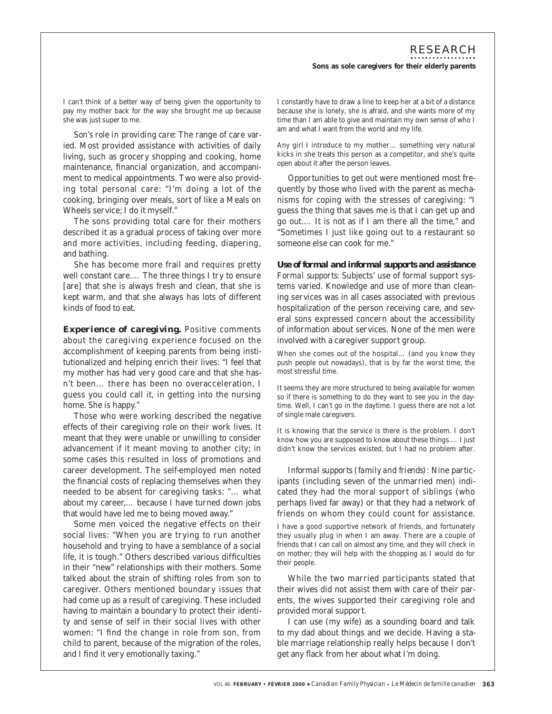I can't think of a better way of being given the opportunity to pay my mother back for the way she brought me up because she was just super to me.

*Son's role in providing care*: The range of care varied. Most provided assistance with activities of daily living, such as grocery shopping and cooking, home maintenance, financial organization, and accompaniment to medical appointments. Two were also providing total personal care: "I'm doing a lot of the cooking, bringing over meals, sort of like a Meals on Wheels service; I do it myself."

The sons providing total care for their mothers described it as a gradual process of taking over more and more activities, including feeding, diapering, and bathing.

She has become more frail and requires pretty well constant care.… The three things I try to ensure [are] that she is always fresh and clean, that she is kept warm, and that she always has lots of different kinds of food to eat.

*Experience of caregiving.* Positive comments about the caregiving experience focused on the accomplishment of keeping parents from being institutionalized and helping enrich their lives: "I feel that my mother has had very good care and that she hasn't been… there has been no overacceleration, I guess you could call it, in getting into the nursing home. She is happy."

Those who were working described the negative effects of their caregiving role on their work lives. It meant that they were unable or unwilling to consider advancement if it meant moving to another city; in some cases this resulted in loss of promotions and career development. The self-employed men noted the financial costs of replacing themselves when they needed to be absent for caregiving tasks: "… what about my career,… because I have turned down jobs that would have led me to being moved away."

Some men voiced the negative effects on their social lives: "When you are trying to run another household and trying to have a semblance of a social life, it is tough." Others described various difficulties in their "new" relationships with their mothers. Some talked about the strain of shifting roles from son to caregiver. Others mentioned boundary issues that had come up as a result of caregiving. These included having to maintain a boundary to protect their identity and sense of self in their social lives with other women: "I find the change in role from son, from child to parent, because of the migration of the roles, and I find it very emotionally taxing."

I constantly have to draw a line to keep her at a bit of a distance because she is lonely, she is afraid, and she wants more of my time than I am able to give and maintain my own sense of who I am and what I want from the world and my life.

Any girl I introduce to my mother… something very natural kicks in she treats this person as a competitor, and she's quite open about it after the person leaves.

Opportunities to get out were mentioned most frequently by those who lived with the parent as mechanisms for coping with the stresses of caregiving: "I guess the thing that saves me is that I can get up and go out.… It is not as if I am there all the time," and "Sometimes I just like going out to a restaurant so someone else can cook for me."

#### *Use of formal and informal supports and assistance*

*Formal supports:* Subjects' use of formal support systems varied. Knowledge and use of more than cleaning services was in all cases associated with previous hospitalization of the person receiving care, and several sons expressed concern about the accessibility of information about services. None of the men were involved with a caregiver support group.

When she comes out of the hospital… (and you know they push people out nowadays), that is by far the worst time, the most stressful time.

It seems they are more structured to being available for women so if there is something to do they want to see you in the daytime. Well, I can't go in the daytime. I guess there are not a lot of single male caregivers.

It is knowing that the service is there is the problem. I don't know how you are supposed to know about these things.… I just didn't know the services existed, but I had no problem after.

*Informal supports (family and friends):* Nine participants (including seven of the unmarried men) indicated they had the moral support of siblings (who perhaps lived far away) or that they had a network of friends on whom they could count for assistance.

I have a good supportive network of friends, and fortunately they usually plug in when I am away. There are a couple of friends that I can call on almost any time, and they will check in on mother; they will help with the shopping as I would do for their people.

While the two married participants stated that their wives did not assist them with care of their parents, the wives supported their caregiving role and provided moral support.

I can use (my wife) as a sounding board and talk to my dad about things and we decide. Having a stable marriage relationship really helps because I don't get any flack from her about what I'm doing.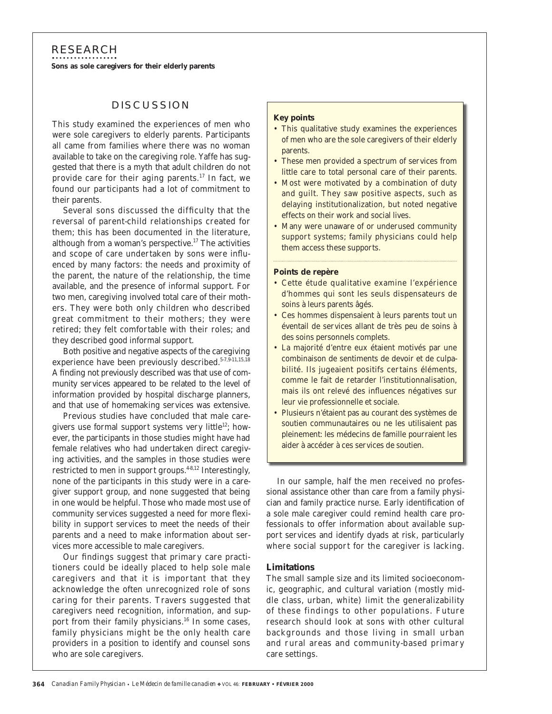## RESEARCH

**Sons as sole caregivers for their elderly parents**

## **DISCUSSION**

This study examined the experiences of men who were sole caregivers to elderly parents. Participants all came from families where there was no woman available to take on the caregiving role. Yaffe has suggested that there is a myth that adult children do not provide care for their aging parents.<sup>17</sup> In fact, we found our participants had a lot of commitment to their parents.

Several sons discussed the difficulty that the reversal of parent-child relationships created for them; this has been documented in the literature, although from a woman's perspective. $17$  The activities and scope of care undertaken by sons were influenced by many factors: the needs and proximity of the parent, the nature of the relationship, the time available, and the presence of informal support. For two men, caregiving involved total care of their mothers. They were both only children who described great commitment to their mothers; they were retired; they felt comfortable with their roles; and they described good informal support.

Both positive and negative aspects of the caregiving experience have been previously described.<sup>5-7,9-11,15,18</sup> A finding not previously described was that use of community services appeared to be related to the level of information provided by hospital discharge planners, and that use of homemaking services was extensive.

Previous studies have concluded that male caregivers use formal support systems very little<sup>12</sup>; however, the participants in those studies might have had female relatives who had undertaken direct caregiving activities, and the samples in those studies were restricted to men in support groups.<sup>4-8,12</sup> Interestingly, none of the participants in this study were in a caregiver support group, and none suggested that being in one would be helpful. Those who made most use of community services suggested a need for more flexibility in support services to meet the needs of their parents and a need to make information about services more accessible to male caregivers.

Our findings suggest that primary care practitioners could be ideally placed to help sole male caregivers and that it is important that they acknowledge the often unrecognized role of sons caring for their parents. Travers suggested that caregivers need recognition, information, and support from their family physicians.<sup>16</sup> In some cases, family physicians might be the only health care providers in a position to identify and counsel sons who are sole caregivers.

#### **Key points**

- This qualitative study examines the experiences of men who are the sole caregivers of their elderly parents.
- These men provided a spectrum of services from little care to total personal care of their parents.
- Most were motivated by a combination of duty and guilt. They saw positive aspects, such as delaying institutionalization, but noted negative effects on their work and social lives.
- Many were unaware of or underused community support systems; family physicians could help them access these supports.

#### **Points de repère**

- Cette étude qualitative examine l'expérience d'hommes qui sont les seuls dispensateurs de soins à leurs parents âgés.
- Ces hommes dispensaient à leurs parents tout un éventail de services allant de très peu de soins à des soins personnels complets.
- La majorité d'entre eux étaient motivés par une combinaison de sentiments de devoir et de culpabilité. Ils jugeaient positifs certains éléments, comme le fait de retarder l'institutionnalisation, mais ils ont relevé des influences négatives sur leur vie professionnelle et sociale.
- Plusieurs n'étaient pas au courant des systèmes de soutien communautaires ou ne les utilisaient pas pleinement: les médecins de famille pourraient les aider à accéder à ces services de soutien.

In our sample, half the men received no professional assistance other than care from a family physician and family practice nurse. Early identification of a sole male caregiver could remind health care professionals to offer information about available support services and identify dyads at risk, particularly where social support for the caregiver is lacking.

#### **Limitations**

The small sample size and its limited socioeconomic, geographic, and cultural variation (mostly middle class, urban, white) limit the generalizability of these findings to other populations. Future research should look at sons with other cultural backgrounds and those living in small urban and rural areas and community-based primary care settings.